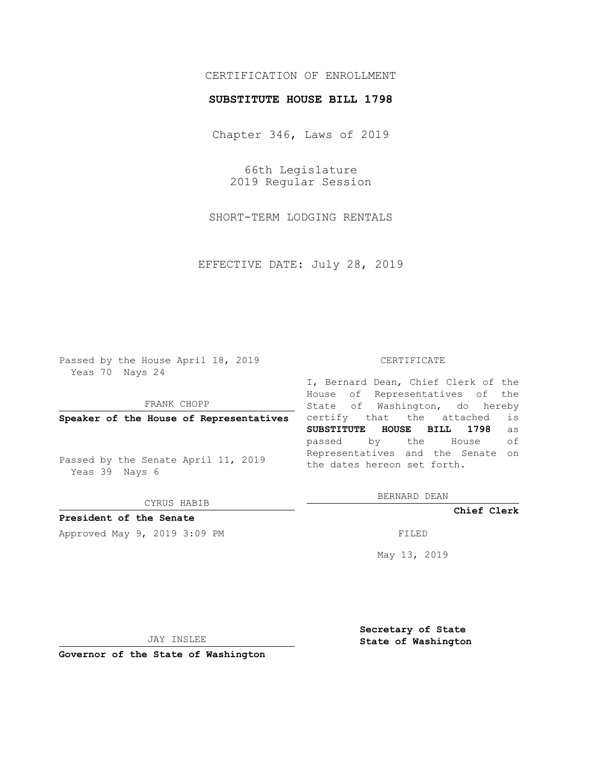## CERTIFICATION OF ENROLLMENT

### **SUBSTITUTE HOUSE BILL 1798**

Chapter 346, Laws of 2019

66th Legislature 2019 Regular Session

SHORT-TERM LODGING RENTALS

EFFECTIVE DATE: July 28, 2019

Passed by the House April 18, 2019 Yeas 70 Nays 24

FRANK CHOPP

**Speaker of the House of Representatives**

Passed by the Senate April 11, 2019 Yeas 39 Nays 6

CYRUS HABIB

## **President of the Senate**

Approved May 9, 2019 3:09 PM

#### CERTIFICATE

I, Bernard Dean, Chief Clerk of the House of Representatives of the State of Washington, do hereby certify that the attached is **SUBSTITUTE HOUSE BILL 1798** as passed by the House of Representatives and the Senate on the dates hereon set forth.

BERNARD DEAN

**Chief Clerk**

May 13, 2019

JAY INSLEE

**Governor of the State of Washington**

**Secretary of State State of Washington**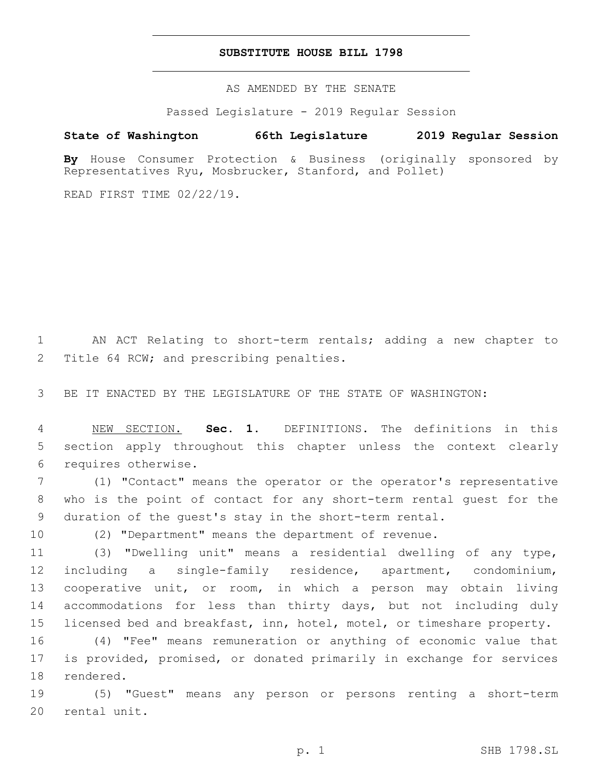### **SUBSTITUTE HOUSE BILL 1798**

AS AMENDED BY THE SENATE

Passed Legislature - 2019 Regular Session

# **State of Washington 66th Legislature 2019 Regular Session**

**By** House Consumer Protection & Business (originally sponsored by Representatives Ryu, Mosbrucker, Stanford, and Pollet)

READ FIRST TIME 02/22/19.

 AN ACT Relating to short-term rentals; adding a new chapter to 2 Title 64 RCW; and prescribing penalties.

BE IT ENACTED BY THE LEGISLATURE OF THE STATE OF WASHINGTON:

 NEW SECTION. **Sec. 1.** DEFINITIONS. The definitions in this section apply throughout this chapter unless the context clearly requires otherwise.

 (1) "Contact" means the operator or the operator's representative who is the point of contact for any short-term rental guest for the duration of the guest's stay in the short-term rental.

(2) "Department" means the department of revenue.

 (3) "Dwelling unit" means a residential dwelling of any type, including a single-family residence, apartment, condominium, cooperative unit, or room, in which a person may obtain living accommodations for less than thirty days, but not including duly licensed bed and breakfast, inn, hotel, motel, or timeshare property.

 (4) "Fee" means remuneration or anything of economic value that is provided, promised, or donated primarily in exchange for services 18 rendered.

 (5) "Guest" means any person or persons renting a short-term 20 rental unit.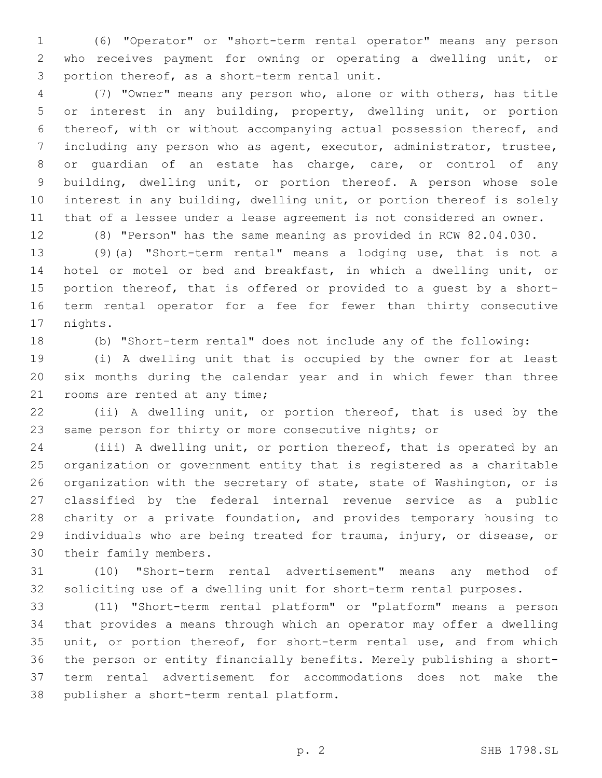(6) "Operator" or "short-term rental operator" means any person who receives payment for owning or operating a dwelling unit, or 3 portion thereof, as a short-term rental unit.

 (7) "Owner" means any person who, alone or with others, has title or interest in any building, property, dwelling unit, or portion thereof, with or without accompanying actual possession thereof, and including any person who as agent, executor, administrator, trustee, or guardian of an estate has charge, care, or control of any building, dwelling unit, or portion thereof. A person whose sole interest in any building, dwelling unit, or portion thereof is solely that of a lessee under a lease agreement is not considered an owner.

(8) "Person" has the same meaning as provided in RCW 82.04.030.

 (9)(a) "Short-term rental" means a lodging use, that is not a hotel or motel or bed and breakfast, in which a dwelling unit, or portion thereof, that is offered or provided to a guest by a short- term rental operator for a fee for fewer than thirty consecutive 17 nights.

(b) "Short-term rental" does not include any of the following:

 (i) A dwelling unit that is occupied by the owner for at least six months during the calendar year and in which fewer than three 21 rooms are rented at any time;

 (ii) A dwelling unit, or portion thereof, that is used by the same person for thirty or more consecutive nights; or

 (iii) A dwelling unit, or portion thereof, that is operated by an organization or government entity that is registered as a charitable organization with the secretary of state, state of Washington, or is classified by the federal internal revenue service as a public charity or a private foundation, and provides temporary housing to individuals who are being treated for trauma, injury, or disease, or 30 their family members.

 (10) "Short-term rental advertisement" means any method of soliciting use of a dwelling unit for short-term rental purposes.

 (11) "Short-term rental platform" or "platform" means a person that provides a means through which an operator may offer a dwelling unit, or portion thereof, for short-term rental use, and from which the person or entity financially benefits. Merely publishing a short- term rental advertisement for accommodations does not make the 38 publisher a short-term rental platform.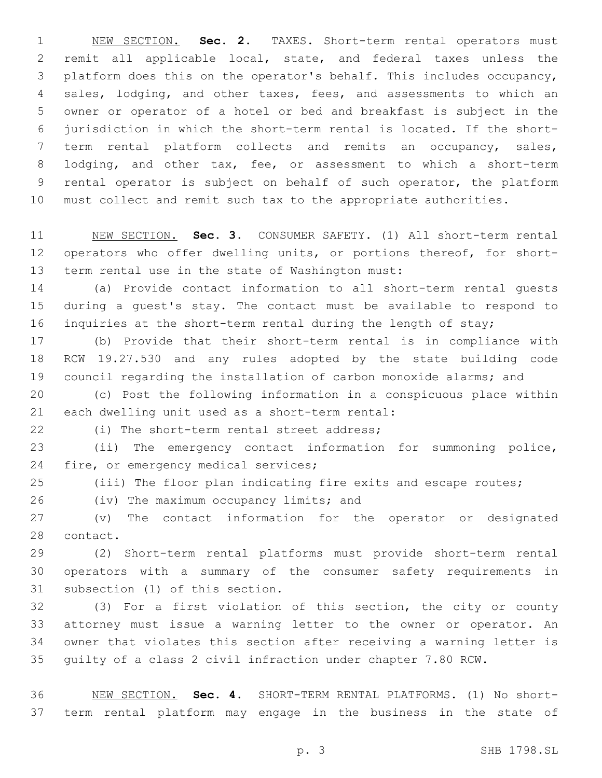NEW SECTION. **Sec. 2.** TAXES. Short-term rental operators must remit all applicable local, state, and federal taxes unless the platform does this on the operator's behalf. This includes occupancy, sales, lodging, and other taxes, fees, and assessments to which an owner or operator of a hotel or bed and breakfast is subject in the jurisdiction in which the short-term rental is located. If the short- term rental platform collects and remits an occupancy, sales, 8 lodging, and other tax, fee, or assessment to which a short-term rental operator is subject on behalf of such operator, the platform must collect and remit such tax to the appropriate authorities.

 NEW SECTION. **Sec. 3.** CONSUMER SAFETY. (1) All short-term rental operators who offer dwelling units, or portions thereof, for short-term rental use in the state of Washington must:

 (a) Provide contact information to all short-term rental guests during a guest's stay. The contact must be available to respond to inquiries at the short-term rental during the length of stay;

 (b) Provide that their short-term rental is in compliance with RCW 19.27.530 and any rules adopted by the state building code council regarding the installation of carbon monoxide alarms; and

 (c) Post the following information in a conspicuous place within 21 each dwelling unit used as a short-term rental:

(i) The short-term rental street address;

 (ii) The emergency contact information for summoning police, 24 fire, or emergency medical services;

(iii) The floor plan indicating fire exits and escape routes;

26 (iv) The maximum occupancy limits; and

 (v) The contact information for the operator or designated 28 contact.

 (2) Short-term rental platforms must provide short-term rental operators with a summary of the consumer safety requirements in 31 subsection (1) of this section.

 (3) For a first violation of this section, the city or county attorney must issue a warning letter to the owner or operator. An owner that violates this section after receiving a warning letter is guilty of a class 2 civil infraction under chapter 7.80 RCW.

 NEW SECTION. **Sec. 4.** SHORT-TERM RENTAL PLATFORMS. (1) No short-term rental platform may engage in the business in the state of